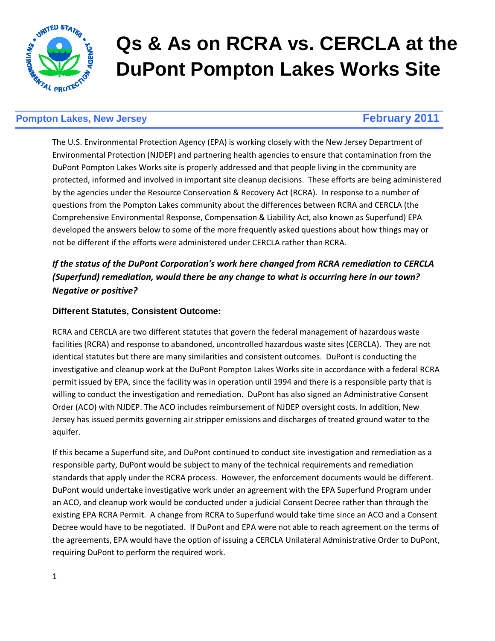

# **Qs & As on RCRA vs. CERCLA at the DuPont Pompton Lakes Works Site**

# **Pompton Lakes, New Jersey February 2011**

The U.S. Environmental Protection Agency (EPA) is working closely with the New Jersey Department of Environmental Protection (NJDEP) and partnering health agencies to ensure that contamination from the DuPont Pompton Lakes Works site is properly addressed and that people living in the community are protected, informed and involved in important site cleanup decisions. These efforts are being administered by the agencies under the Resource Conservation & Recovery Act (RCRA). In response to a number of questions from the Pompton Lakes community about the differences between RCRA and CERCLA (the Comprehensive Environmental Response, Compensation & Liability Act, also known as Superfund) EPA developed the answers below to some of the more frequently asked questions about how things may or not be different if the efforts were administered under CERCLA rather than RCRA.

# If the status of the DuPont Corporation's work here changed from RCRA remediation to CERCLA (Superfund) remediation, would there be any change to what is occurring here in our town? Negative or positive?

# **Different Statutes, Consistent Outcome:**

RCRA and CERCLA are two different statutes that govern the federal management of hazardous waste facilities (RCRA) and response to abandoned, uncontrolled hazardous waste sites (CERCLA). They are not identical statutes but there are many similarities and consistent outcomes. DuPont is conducting the investigative and cleanup work at the DuPont Pompton Lakes Works site in accordance with a federal RCRA permit issued by EPA, since the facility was in operation until 1994 and there is a responsible party that is willing to conduct the investigation and remediation. DuPont has also signed an Administrative Consent Order (ACO) with NJDEP. The ACO includes reimbursement of NJDEP oversight costs. In addition, New Jersey has issued permits governing air stripper emissions and discharges of treated ground water to the aquifer.

If this became a Superfund site, and DuPont continued to conduct site investigation and remediation as a responsible party, DuPont would be subject to many of the technical requirements and remediation standards that apply under the RCRA process. However, the enforcement documents would be different. DuPont would undertake investigative work under an agreement with the EPA Superfund Program under an ACO, and cleanup work would be conducted under a judicial Consent Decree rather than through the existing EPA RCRA Permit. A change from RCRA to Superfund would take time since an ACO and a Consent Decree would have to be negotiated. If DuPont and EPA were not able to reach agreement on the terms of the agreements, EPA would have the option of issuing a CERCLA Unilateral Administrative Order to DuPont, requiring DuPont to perform the required work.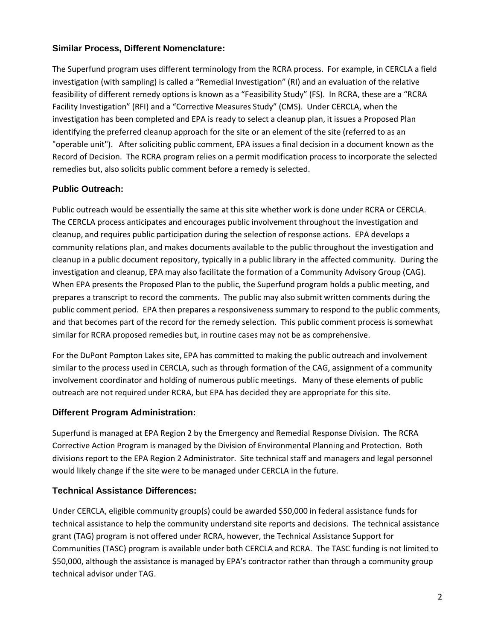# **Similar Process, Different Nomenclature:**

The Superfund program uses different terminology from the RCRA process. For example, in CERCLA a field investigation (with sampling) is called a "Remedial Investigation" (RI) and an evaluation of the relative feasibility of different remedy options is known as a "Feasibility Study" (FS). In RCRA, these are a "RCRA Facility Investigation" (RFI) and a "Corrective Measures Study" (CMS). Under CERCLA, when the investigation has been completed and EPA is ready to select a cleanup plan, it issues a Proposed Plan identifying the preferred cleanup approach for the site or an element of the site (referred to as an "operable unit"). After soliciting public comment, EPA issues a final decision in a document known as the Record of Decision. The RCRA program relies on a permit modification process to incorporate the selected remedies but, also solicits public comment before a remedy is selected.

# **Public Outreach:**

Public outreach would be essentially the same at this site whether work is done under RCRA or CERCLA. The CERCLA process anticipates and encourages public involvement throughout the investigation and cleanup, and requires public participation during the selection of response actions. EPA develops a community relations plan, and makes documents available to the public throughout the investigation and cleanup in a public document repository, typically in a public library in the affected community. During the investigation and cleanup, EPA may also facilitate the formation of a Community Advisory Group (CAG). When EPA presents the Proposed Plan to the public, the Superfund program holds a public meeting, and prepares a transcript to record the comments. The public may also submit written comments during the public comment period. EPA then prepares a responsiveness summary to respond to the public comments, and that becomes part of the record for the remedy selection. This public comment process is somewhat similar for RCRA proposed remedies but, in routine cases may not be as comprehensive.

For the DuPont Pompton Lakes site, EPA has committed to making the public outreach and involvement similar to the process used in CERCLA, such as through formation of the CAG, assignment of a community involvement coordinator and holding of numerous public meetings. Many of these elements of public outreach are not required under RCRA, but EPA has decided they are appropriate for this site.

#### **Different Program Administration:**

Superfund is managed at EPA Region 2 by the Emergency and Remedial Response Division. The RCRA Corrective Action Program is managed by the Division of Environmental Planning and Protection. Both divisions report to the EPA Region 2 Administrator. Site technical staff and managers and legal personnel would likely change if the site were to be managed under CERCLA in the future.

# **Technical Assistance Differences:**

Under CERCLA, eligible community group(s) could be awarded \$50,000 in federal assistance funds for technical assistance to help the community understand site reports and decisions. The technical assistance grant (TAG) program is not offered under RCRA, however, the Technical Assistance Support for Communities (TASC) program is available under both CERCLA and RCRA. The TASC funding is not limited to \$50,000, although the assistance is managed by EPA's contractor rather than through a community group technical advisor under TAG.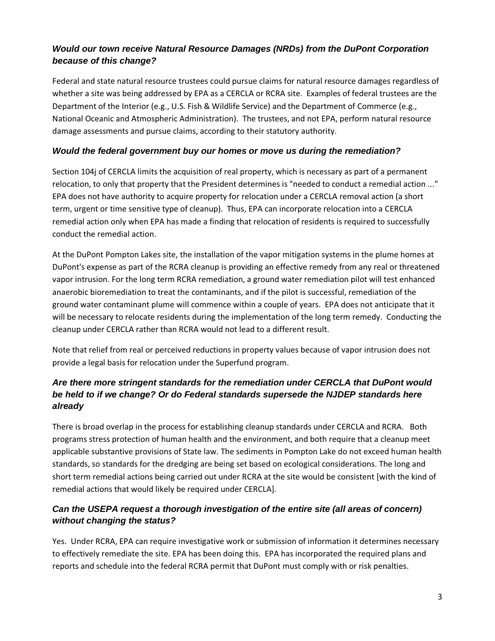# **Would our town receive Natural Resource Damages (NRDs) from the DuPont Corporation because of this change?**

Federal and state natural resource trustees could pursue claims for natural resource damages regardless of whether a site was being addressed by EPA as a CERCLA or RCRA site. Examples of federal trustees are the Department of the Interior (e.g., U.S. Fish & Wildlife Service) and the Department of Commerce (e.g., National Oceanic and Atmospheric Administration). The trustees, and not EPA, perform natural resource damage assessments and pursue claims, according to their statutory authority.

# **Would the federal government buy our homes or move us during the remediation?**

Section 104j of CERCLA limits the acquisition of real property, which is necessary as part of a permanent relocation, to only that property that the President determines is "needed to conduct a remedial action ..." EPA does not have authority to acquire property for relocation under a CERCLA removal action (a short term, urgent or time sensitive type of cleanup). Thus, EPA can incorporate relocation into a CERCLA remedial action only when EPA has made a finding that relocation of residents is required to successfully conduct the remedial action.

At the DuPont Pompton Lakes site, the installation of the vapor mitigation systems in the plume homes at DuPont's expense as part of the RCRA cleanup is providing an effective remedy from any real or threatened vapor intrusion. For the long term RCRA remediation, a ground water remediation pilot will test enhanced anaerobic bioremediation to treat the contaminants, and if the pilot is successful, remediation of the ground water contaminant plume will commence within a couple of years. EPA does not anticipate that it will be necessary to relocate residents during the implementation of the long term remedy. Conducting the cleanup under CERCLA rather than RCRA would not lead to a different result.

Note that relief from real or perceived reductions in property values because of vapor intrusion does not provide a legal basis for relocation under the Superfund program.

# **Are there more stringent standards for the remediation under CERCLA that DuPont would be held to if we change? Or do Federal standards supersede the NJDEP standards here already**

There is broad overlap in the process for establishing cleanup standards under CERCLA and RCRA. Both programs stress protection of human health and the environment, and both require that a cleanup meet applicable substantive provisions of State law. The sediments in Pompton Lake do not exceed human health standards, so standards for the dredging are being set based on ecological considerations. The long and short term remedial actions being carried out under RCRA at the site would be consistent [with the kind of remedial actions that would likely be required under CERCLA].

# **Can the USEPA request a thorough investigation of the entire site (all areas of concern) without changing the status?**

Yes. Under RCRA, EPA can require investigative work or submission of information it determines necessary to effectively remediate the site. EPA has been doing this. EPA has incorporated the required plans and reports and schedule into the federal RCRA permit that DuPont must comply with or risk penalties.